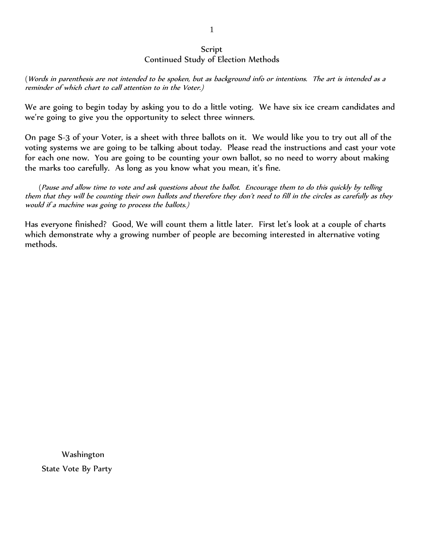### Script Continued Study of Election Methods

(Words in parenthesis are not intended to be spoken, but as background info or intentions. The art is intended as a reminder of which chart to call attention to in the Voter.)

We are going to begin today by asking you to do a little voting. We have six ice cream candidates and we're going to give you the opportunity to select three winners.

On page S-3 of your Voter, is a sheet with three ballots on it. We would like you to try out all of the voting systems we are going to be talking about today. Please read the instructions and cast your vote for each one now. You are going to be counting your own ballot, so no need to worry about making the marks too carefully. As long as you know what you mean, it's fine.

 (Pause and allow time to vote and ask questions about the ballot. Encourage them to do this quickly by telling them that they will be counting their own ballots and therefore they don't need to fill in the circles as carefully as they would if a machine was going to process the ballots.)

Has everyone finished? Good, We will count them a little later. First let's look at a couple of charts which demonstrate why a growing number of people are becoming interested in alternative voting methods.

 Washington State Vote By Party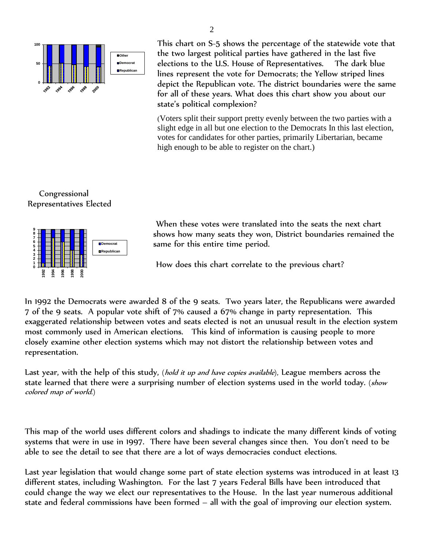

This chart on S-5 shows the percentage of the statewide vote that the two largest political parties have gathered in the last five elections to the U.S. House of Representatives. The dark blue lines represent the vote for Democrats; the Yellow striped lines depict the Republican vote. The district boundaries were the same for all of these years. What does this chart show you about our state's political complexion?

(Voters split their support pretty evenly between the two parties with a slight edge in all but one election to the Democrats In this last election, votes for candidates for other parties, primarily Libertarian, became high enough to be able to register on the chart.)

## Congressional Representatives Elected



When these votes were translated into the seats the next chart shows how many seats they won, District boundaries remained the same for this entire time period.

How does this chart correlate to the previous chart?

In 1992 the Democrats were awarded 8 of the 9 seats. Two years later, the Republicans were awarded 7 of the 9 seats. A popular vote shift of 7% caused a 67% change in party representation. This exaggerated relationship between votes and seats elected is not an unusual result in the election system most commonly used in American elections. This kind of information is causing people to more closely examine other election systems which may not distort the relationship between votes and representation.

Last year, with the help of this study, (*hold it up and have copies available*), League members across the state learned that there were a surprising number of election systems used in the world today. (show colored map of world.)

This map of the world uses different colors and shadings to indicate the many different kinds of voting systems that were in use in 1997. There have been several changes since then. You don't need to be able to see the detail to see that there are a lot of ways democracies conduct elections.

Last year legislation that would change some part of state election systems was introduced in at least 13 different states, including Washington. For the last 7 years Federal Bills have been introduced that could change the way we elect our representatives to the House. In the last year numerous additional state and federal commissions have been formed – all with the goal of improving our election system.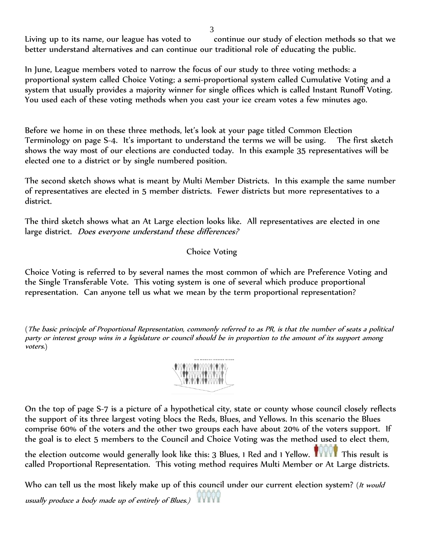Living up to its name, our league has voted to continue our study of election methods so that we better understand alternatives and can continue our traditional role of educating the public.

In June, League members voted to narrow the focus of our study to three voting methods: a proportional system called Choice Voting; a semi-proportional system called Cumulative Voting and a system that usually provides a majority winner for single offices which is called Instant Runoff Voting. You used each of these voting methods when you cast your ice cream votes a few minutes ago.

Before we home in on these three methods, let's look at your page titled Common Election Terminology on page S-4. It's important to understand the terms we will be using. The first sketch shows the way most of our elections are conducted today. In this example 35 representatives will be elected one to a district or by single numbered position.

The second sketch shows what is meant by Multi Member Districts. In this example the same number of representatives are elected in 5 member districts. Fewer districts but more representatives to a district.

The third sketch shows what an At Large election looks like. All representatives are elected in one large district. Does everyone understand these differences?

# Choice Voting

Choice Voting is referred to by several names the most common of which are Preference Voting and the Single Transferable Vote. This voting system is one of several which produce proportional representation. Can anyone tell us what we mean by the term proportional representation?

(The basic principle of Proportional Representation, commonly referred to as PR, is that the number of seats a political party or interest group wins in a legislature or council should be in proportion to the amount of its support among voters.)



On the top of page S-7 is a picture of a hypothetical city, state or county whose council closely reflects the support of its three largest voting blocs the Reds, Blues, and Yellows. In this scenario the Blues comprise 60% of the voters and the other two groups each have about 20% of the voters support. If the goal is to elect 5 members to the Council and Choice Voting was the method used to elect them,

the election outcome would generally look like this: 3 Blues, 1 Red and 1 Yellow. This result is called Proportional Representation. This voting method requires Multi Member or At Large districts.

Who can tell us the most likely make up of this council under our current election system? (It would usually produce a body made up of entirely of Blues.)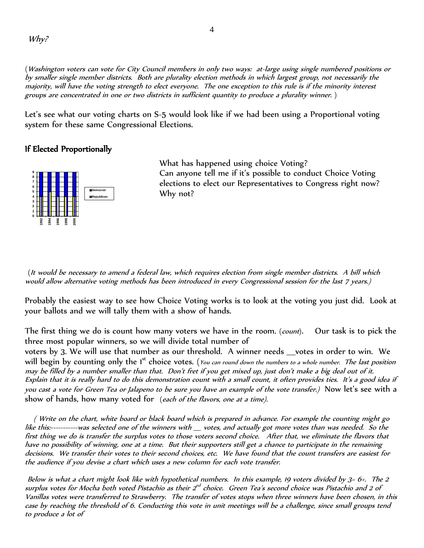(Washington voters can vote for City Council members in only two ways: at-large using single numbered positions or by smaller single member districts. Both are plurality election methods in which largest group, not necessarily the majority, will have the voting strength to elect everyone. The one exception to this rule is if the minority interest groups are concentrated in one or two districts in sufficient quantity to produce a plurality winner. )

Let's see what our voting charts on S-5 would look like if we had been using a Proportional voting system for these same Congressional Elections.

#### If Elected Proportionally



What has happened using choice Voting? Can anyone tell me if it's possible to conduct Choice Voting elections to elect our Representatives to Congress right now? Why not?

(It would be necessary to amend a federal law, which requires election from single member districts. A bill which would allow alternative voting methods has been introduced in every Congressional session for the last 7 years.)

Probably the easiest way to see how Choice Voting works is to look at the voting you just did. Look at your ballots and we will tally them with a show of hands.

The first thing we do is count how many voters we have in the room. (count). Our task is to pick the three most popular winners, so we will divide total number of

voters by 3. We will use that number as our threshold. A winner needs votes in order to win. We will begin by counting only the 1<sup>st</sup> choice votes. (You can round down the numbers to a whole number. The last position may be filled by a number smaller than that. Don't fret if you get mixed up, just don't make a big deal out of it. Explain that it is really hard to do this demonstration count with a small count, it often provides ties. It's a good idea if you cast a vote for Green Tea or Jalapeno to be sure you have an example of the vote transfer.) Now let's see with a show of hands, how many voted for (each of the flavors, one at a time).

 ( Write on the chart, white board or black board which is prepared in advance. For example the counting might go like this:-----------was selected one of the winners with \_\_\_ votes, and actually got more votes than was needed. So the first thing we do is transfer the surplus votes to those voters second choice. After that, we eliminate the flavors that have no possibility of winning, one at a time. But their supporters still get a chance to participate in the remaining decisions. We transfer their votes to their second choices, etc. We have found that the count transfers are easiest for the audience if you devise a chart which uses a new column for each vote transfer.

Below is what a chart might look like with hypothetical numbers. In this example, 19 voters divided by  $3=6+$ . The 2 surplus votes for Mocha both voted Pistachio as their 2<sup>nd</sup> choice. Green Tea's second choice was Pistachio and 2 of Vanillas votes were transferred to Strawberry. The transfer of votes stops when three winners have been chosen, in this case by reaching the threshold of 6. Conducting this vote in unit meetings will be a challenge, since small groups tend to produce a lot of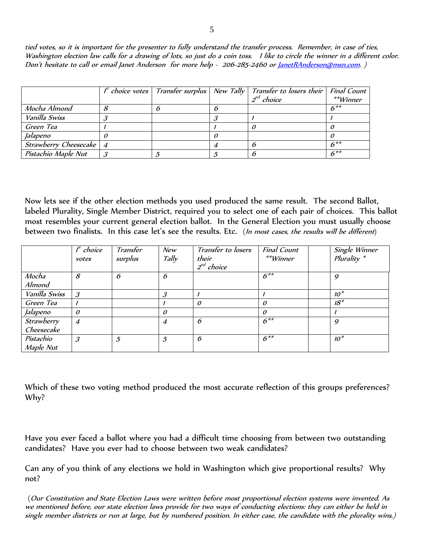tied votes, so it is important for the presenter to fully understand the transfer process. Remember, in case of ties, Washington election law calls for a drawing of lots, so just do a coin toss. I like to circle the winner in a different color. Don't hesitate to call or email Janet Anderson for more help - 206-285-2460 or <u>JanetRAnderson@msn.com</u>.)

|                           |  | $f^t$ choice votes   Transfer surplus   New Tally   Transfer to losers their | <b>Final Count</b> |
|---------------------------|--|------------------------------------------------------------------------------|--------------------|
|                           |  | $2^{nd}$ choice                                                              | **Winner           |
| Mocha Almond              |  |                                                                              | $6**$              |
| Vanilla Swiss             |  |                                                                              |                    |
| Green Tea                 |  |                                                                              |                    |
| Jalapeno                  |  |                                                                              |                    |
| Strawberry Cheesecake   4 |  |                                                                              | $6**$              |
| Pistachio Maple Nut       |  |                                                                              | $6***$             |

Now lets see if the other election methods you used produced the same result. The second Ballot, labeled Plurality, Single Member District, required you to select one of each pair of choices. This ballot most resembles your current general election ballot. In the General Election you must usually choose between two finalists. In this case let's see the results. Etc. (In most cases, the results will be different)

|               | $f^t$ choice                | Transfer       | New              | Transfer to losers | <b>Final Count</b> | Single Winner    |
|---------------|-----------------------------|----------------|------------------|--------------------|--------------------|------------------|
|               | votes                       | surplus        | Tally            | their              | $*$ * $W$ inner    | $Plurality *$    |
|               |                             |                |                  | $2^{nd}$ choice    |                    |                  |
| Mocha         | 8                           | 6              | 6                |                    | $6***$             | 9                |
| Almond        |                             |                |                  |                    |                    |                  |
| Vanilla Swiss | $\boldsymbol{\beta}$        |                | 3                |                    |                    | $10*$            |
| Green Tea     |                             |                |                  | $\theta$           | 0                  | $18*$            |
| Jalapeno      | $\theta$                    |                | $\theta$         |                    | $\theta$           |                  |
| Strawberry    | $\overline{4}$              |                | $\boldsymbol{4}$ | 6                  | $6***$             | $\boldsymbol{q}$ |
| Cheesecake    |                             |                |                  |                    |                    |                  |
| Pistachio     | $\mathcal{S}_{\mathcal{S}}$ | $\mathfrak{I}$ | 5                | 6                  | $6***$             | $10*$            |
| Maple Nut     |                             |                |                  |                    |                    |                  |

Which of these two voting method produced the most accurate reflection of this groups preferences? Why?

Have you ever faced a ballot where you had a difficult time choosing from between two outstanding candidates? Have you ever had to choose between two weak candidates?

Can any of you think of any elections we hold in Washington which give proportional results? Why not?

(Our Constitution and State Election Laws were written before most proportional election systems were invented. As we mentioned before, our state election laws provide for two ways of conducting elections: they can either be held in single member districts or run at large, but by numbered position. In either case, the candidate with the plurality wins.)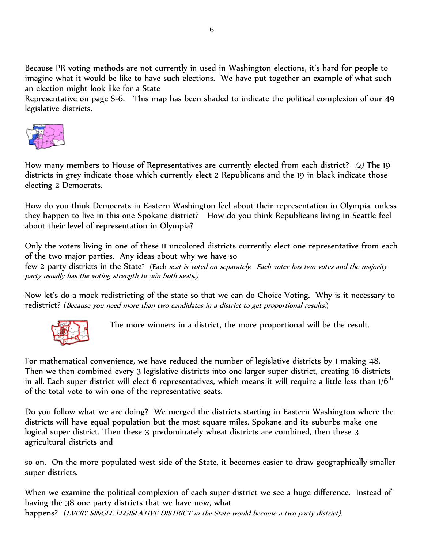Because PR voting methods are not currently in used in Washington elections, it's hard for people to imagine what it would be like to have such elections. We have put together an example of what such an election might look like for a State

Representative on page S-6. This map has been shaded to indicate the political complexion of our 49 legislative districts.



How many members to House of Representatives are currently elected from each district? (2) The 19 districts in grey indicate those which currently elect 2 Republicans and the 19 in black indicate those electing 2 Democrats.

How do you think Democrats in Eastern Washington feel about their representation in Olympia, unless they happen to live in this one Spokane district? How do you think Republicans living in Seattle feel about their level of representation in Olympia?

Only the voters living in one of these 11 uncolored districts currently elect one representative from each of the two major parties. Any ideas about why we have so

few 2 party districts in the State? (Each seat is voted on separately. Each voter has two votes and the majority party usually has the voting strength to win both seats.)

Now let's do a mock redistricting of the state so that we can do Choice Voting. Why is it necessary to redistrict? (Because you need more than two candidates in a district to get proportional results.)



The more winners in a district, the more proportional will be the result.

For mathematical convenience, we have reduced the number of legislative districts by 1 making 48. Then we then combined every 3 legislative districts into one larger super district, creating 16 districts in all. Each super district will elect 6 representatives, which means it will require a little less than  $1/6<sup>th</sup>$ of the total vote to win one of the representative seats.

Do you follow what we are doing? We merged the districts starting in Eastern Washington where the districts will have equal population but the most square miles. Spokane and its suburbs make one logical super district. Then these 3 predominately wheat districts are combined, then these 3 agricultural districts and

so on. On the more populated west side of the State, it becomes easier to draw geographically smaller super districts.

When we examine the political complexion of each super district we see a huge difference. Instead of having the 38 one party districts that we have now, what happens? (EVERY SINGLE LEGISLATIVE DISTRICT in the State would become a two party district).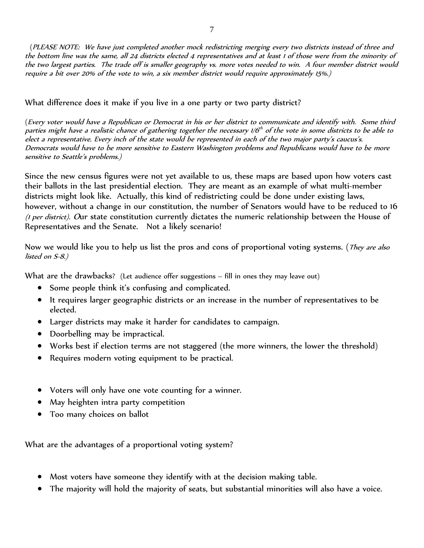(PLEASE NOTE: We have just completed another mock redistricting merging every two districts instead of three and the bottom line was the same, all 24 districts elected 4 representatives and at least 1 of those were from the minority of the two largest parties. The trade off is smaller geography vs. more votes needed to win. A four member district would require a bit over 20% of the vote to win, a six member district would require approximately 15%.)

## What difference does it make if you live in a one party or two party district?

(Every voter would have a Republican or Democrat in his or her district to communicate and identify with. Some third parties might have a realistic chance of gathering together the necessary  $1/G<sup>th</sup>$  of the vote in some districts to be able to elect a representative. Every inch of the state would be represented in each of the two major party's caucus's. Democrats would have to be more sensitive to Eastern Washington problems and Republicans would have to be more sensitive to Seattle's problems.)

Since the new census figures were not yet available to us, these maps are based upon how voters cast their ballots in the last presidential election. They are meant as an example of what multi-member districts might look like. Actually, this kind of redistricting could be done under existing laws, however, without a change in our constitution, the number of Senators would have to be reduced to 16 (1 per district). Our state constitution currently dictates the numeric relationship between the House of Representatives and the Senate. Not a likely scenario!

Now we would like you to help us list the pros and cons of proportional voting systems. (*They are also* listed on S-8.)

What are the drawbacks? (Let audience offer suggestions - fill in ones they may leave out)

- Some people think it's confusing and complicated.
- It requires larger geographic districts or an increase in the number of representatives to be elected.
- Larger districts may make it harder for candidates to campaign.
- Doorbelling may be impractical.
- Works best if election terms are not staggered (the more winners, the lower the threshold)
- Requires modern voting equipment to be practical.
- Voters will only have one vote counting for a winner.
- May heighten intra party competition
- Too many choices on ballot

What are the advantages of a proportional voting system?

- Most voters have someone they identify with at the decision making table.
- The majority will hold the majority of seats, but substantial minorities will also have a voice.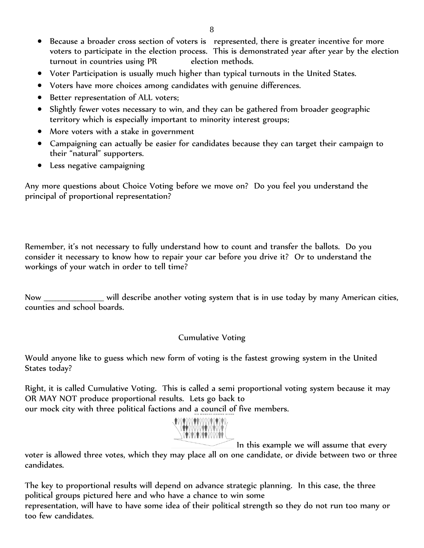- Because a broader cross section of voters is represented, there is greater incentive for more voters to participate in the election process. This is demonstrated year after year by the election turnout in countries using PR election methods.
- Voter Participation is usually much higher than typical turnouts in the United States.
- Voters have more choices among candidates with genuine differences.
- Better representation of ALL voters;
- Slightly fewer votes necessary to win, and they can be gathered from broader geographic territory which is especially important to minority interest groups;
- More voters with a stake in government
- Campaigning can actually be easier for candidates because they can target their campaign to their "natural" supporters.
- Less negative campaigning

Any more questions about Choice Voting before we move on? Do you feel you understand the principal of proportional representation?

Remember, it's not necessary to fully understand how to count and transfer the ballots. Do you consider it necessary to know how to repair your car before you drive it? Or to understand the workings of your watch in order to tell time?

Now will describe another voting system that is in use today by many American cities, counties and school boards.

### Cumulative Voting

Would anyone like to guess which new form of voting is the fastest growing system in the United States today?

Right, it is called Cumulative Voting. This is called a semi proportional voting system because it may OR MAY NOT produce proportional results. Lets go back to our mock city with three political factions and a council of five members.



In this example we will assume that every

voter is allowed three votes, which they may place all on one candidate, or divide between two or three candidates.

The key to proportional results will depend on advance strategic planning. In this case, the three political groups pictured here and who have a chance to win some

representation, will have to have some idea of their political strength so they do not run too many or too few candidates.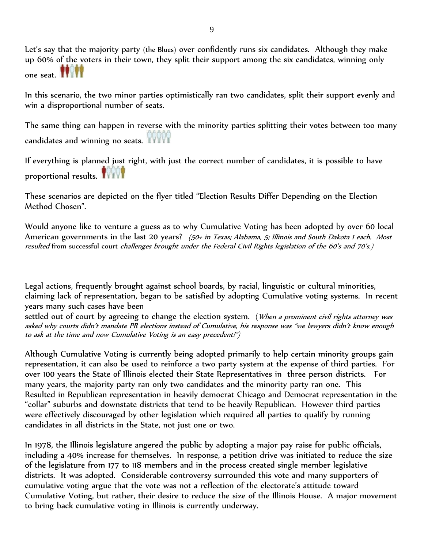Let's say that the majority party (the Blues) over confidently runs six candidates. Although they make up 60% of the voters in their town, they split their support among the six candidates, winning only one seat.

In this scenario, the two minor parties optimistically ran two candidates, split their support evenly and win a disproportional number of seats.

The same thing can happen in reverse with the minority parties splitting their votes between too many candidates and winning no seats.

If everything is planned just right, with just the correct number of candidates, it is possible to have proportional results.

These scenarios are depicted on the flyer titled "Election Results Differ Depending on the Election Method Chosen".

Would anyone like to venture a guess as to why Cumulative Voting has been adopted by over 60 local American governments in the last 20 years? (50+ in Texas; Alabama, 5; Illinois and South Dakota 1 each. Most resulted from successful court challenges brought under the Federal Civil Rights legislation of the 60's and 70's.)

Legal actions, frequently brought against school boards, by racial, linguistic or cultural minorities, claiming lack of representation, began to be satisfied by adopting Cumulative voting systems. In recent years many such cases have been

settled out of court by agreeing to change the election system. (When a prominent civil rights attorney was asked why courts didn't mandate PR elections instead of Cumulative, his response was "we lawyers didn't know enough to ask at the time and now Cumulative Voting is an easy precedent!")

Although Cumulative Voting is currently being adopted primarily to help certain minority groups gain representation, it can also be used to reinforce a two party system at the expense of third parties. For over 100 years the State of Illinois elected their State Representatives in three person districts. For many years, the majority party ran only two candidates and the minority party ran one. This Resulted in Republican representation in heavily democrat Chicago and Democrat representation in the "collar" suburbs and downstate districts that tend to be heavily Republican. However third parties were effectively discouraged by other legislation which required all parties to qualify by running candidates in all districts in the State, not just one or two.

In 1978, the Illinois legislature angered the public by adopting a major pay raise for public officials, including a 40% increase for themselves. In response, a petition drive was initiated to reduce the size of the legislature from 177 to 118 members and in the process created single member legislative districts. It was adopted. Considerable controversy surrounded this vote and many supporters of cumulative voting argue that the vote was not a reflection of the electorate's attitude toward Cumulative Voting, but rather, their desire to reduce the size of the Illinois House. A major movement to bring back cumulative voting in Illinois is currently underway.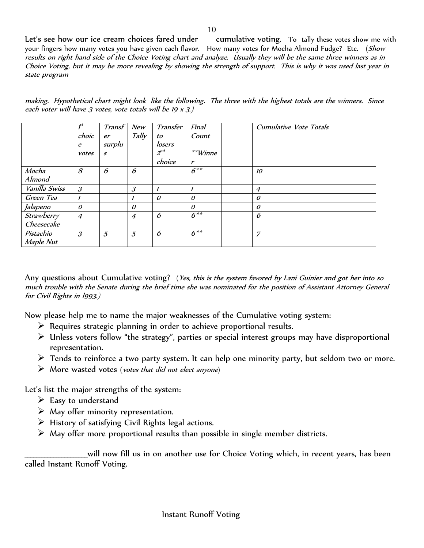Let's see how our ice cream choices fared under cumulative voting. To tally these votes show me with your fingers how many votes you have given each flavor. How many votes for Mocha Almond Fudge? Etc. (Show results on right hand side of the Choice Voting chart and analyze. Usually they will be the same three winners as in Choice Voting, but it may be more revealing by showing the strength of support. This is why it was used last year in state program

making. Hypothetical chart might look like the following. The three with the highest totals are the winners. Since each voter will have  $3$  votes, vote totals will be 19  $x$   $3$ .)

|               | $f^{st}$                    | Transf           | New                         | Transfer     | Final        | <b>Cumulative Vote Totals</b> |  |
|---------------|-----------------------------|------------------|-----------------------------|--------------|--------------|-------------------------------|--|
|               | choic                       | er               | Tally                       | to           | Count        |                               |  |
|               | e                           | surplu           |                             | losers       |              |                               |  |
|               | votes                       | $\boldsymbol{s}$ |                             | $2^{nd}$     | **Winne      |                               |  |
|               |                             |                  |                             | choice       | $\mathbf{r}$ |                               |  |
| Mocha         | 8                           | 6                | 6                           |              | $6***$       | 10                            |  |
| Almond        |                             |                  |                             |              |              |                               |  |
| Vanilla Swiss | $\mathcal{S}_{\mathcal{S}}$ |                  | $\mathcal{S}_{\mathcal{S}}$ | $\mathbf{I}$ |              | $\overline{4}$                |  |
| Green Tea     |                             |                  |                             | $\theta$     | $\mathcal O$ | $\theta$                      |  |
| Jalapeno      | $\mathcal O$                |                  | $\theta$                    |              | $\theta$     | $\theta$                      |  |
| Strawberry    | $\overline{4}$              |                  | $\overline{4}$              | 6            | $6***$       | 6                             |  |
| Cheesecake    |                             |                  |                             |              |              |                               |  |
| Pistachio     | $\mathcal{S}_{\mathcal{S}}$ | $\mathfrak z$    | $\mathfrak{H}$              | 6            | $6***$       | 7                             |  |
| Maple Nut     |                             |                  |                             |              |              |                               |  |

Any questions about Cumulative voting? (Yes, this is the system favored by Lani Guinier and got her into so much trouble with the Senate during the brief time she was nominated for the position of Assistant Attorney General for Civil Rights in l993.)

Now please help me to name the major weaknesses of the Cumulative voting system:

- $\triangleright$  Requires strategic planning in order to achieve proportional results.
- $\triangleright$  Unless voters follow "the strategy", parties or special interest groups may have disproportional representation.
- $\triangleright$  Tends to reinforce a two party system. It can help one minority party, but seldom two or more.
- $\triangleright$  More wasted votes (votes that did not elect anyone)

Let's list the major strengths of the system:

- $\triangleright$  Easy to understand
- $\triangleright$  May offer minority representation.
- $\triangleright$  History of satisfying Civil Rights legal actions.
- $\triangleright$  May offer more proportional results than possible in single member districts.

\_\_\_\_\_\_\_\_\_\_\_\_\_\_\_\_\_\_\_\_\_\_will now fill us in on another use for Choice Voting which, in recent years, has been called Instant Runoff Voting.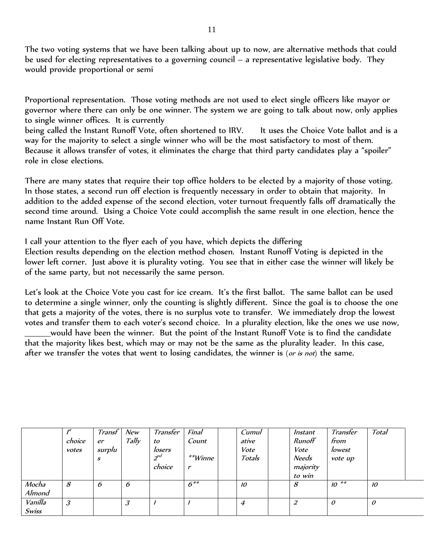The two voting systems that we have been talking about up to now, are alternative methods that could be used for electing representatives to a governing council – a representative legislative body. They would provide proportional or semi

Proportional representation. Those voting methods are not used to elect single officers like mayor or governor where there can only be one winner. The system we are going to talk about now, only applies to single winner offices. It is currently

being called the Instant Runoff Vote, often shortened to IRV. It uses the Choice Vote ballot and is a way for the majority to select a single winner who will be the most satisfactory to most of them. Because it allows transfer of votes, it eliminates the charge that third party candidates play a "spoiler" role in close elections.

There are many states that require their top office holders to be elected by a majority of those voting. In those states, a second run off election is frequently necessary in order to obtain that majority. In addition to the added expense of the second election, voter turnout frequently falls off dramatically the second time around. Using a Choice Vote could accomplish the same result in one election, hence the name Instant Run Off Vote.

I call your attention to the flyer each of you have, which depicts the differing

Election results depending on the election method chosen. Instant Runoff Voting is depicted in the lower left corner. Just above it is plurality voting. You see that in either case the winner will likely be of the same party, but not necessarily the same person.

Let's look at the Choice Vote you cast for ice cream. It's the first ballot. The same ballot can be used to determine a single winner, only the counting is slightly different. Since the goal is to choose the one that gets a majority of the votes, there is no surplus vote to transfer. We immediately drop the lowest votes and transfer them to each voter's second choice. In a plurality election, like the ones we use now, \_\_\_\_\_\_\_\_\_would have been the winner. But the point of the Instant Runoff Vote is to find the candidate that the majority likes best, which may or may not be the same as the plurality leader. In this case, after we transfer the votes that went to losing candidates, the winner is (or is not) the same.

|              |                             | Transf | New   | Transfer | Final             | Cumul  | Instant  | Transfer  | Total        |  |
|--------------|-----------------------------|--------|-------|----------|-------------------|--------|----------|-----------|--------------|--|
|              | choice                      | er     | Tally | to       | Count             | ative  | Runoff   | from      |              |  |
|              | votes                       | surplu |       | losers   |                   | Vote   | Vote     | lowest    |              |  |
|              |                             | S      |       | $2^{nd}$ | $*$ *Winne        | Totals | Needs    | vote up   |              |  |
|              |                             |        |       | choice   | $\mathbf{r}$      |        | majority |           |              |  |
|              |                             |        |       |          |                   |        | to win   |           |              |  |
| Mocha        | 8                           | ь      | 6     |          | $\overline{6}$ ** | 10     | 8        | $10^{**}$ | 10           |  |
| Almond       |                             |        |       |          |                   |        |          |           |              |  |
| Vanilla      | $\mathcal{S}_{\mathcal{S}}$ |        | 3     |          |                   | 4      | 2        | 0         | $\mathcal O$ |  |
| <b>Swiss</b> |                             |        |       |          |                   |        |          |           |              |  |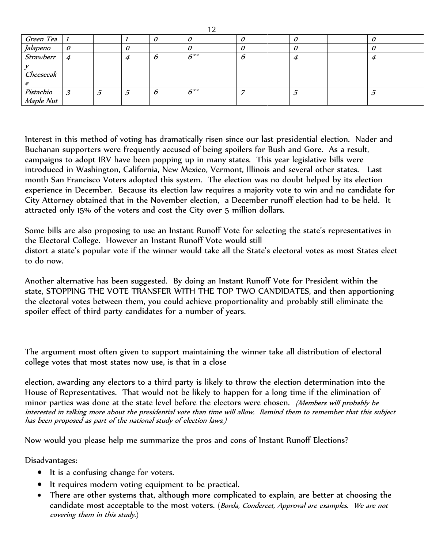| Green Tea                |   |   |   |        |  |  |  |
|--------------------------|---|---|---|--------|--|--|--|
| Jalapeno                 |   |   |   |        |  |  |  |
| Strawberr                | 4 |   | υ | $6***$ |  |  |  |
|                          |   |   |   |        |  |  |  |
| Cheesecak                |   |   |   |        |  |  |  |
|                          |   |   |   |        |  |  |  |
| Pistachio 3<br>Maple Nut |   | 5 | O | $6***$ |  |  |  |
|                          |   |   |   |        |  |  |  |

Interest in this method of voting has dramatically risen since our last presidential election. Nader and Buchanan supporters were frequently accused of being spoilers for Bush and Gore. As a result, campaigns to adopt IRV have been popping up in many states. This year legislative bills were introduced in Washington, California, New Mexico, Vermont, Illinois and several other states. Last month San Francisco Voters adopted this system. The election was no doubt helped by its election experience in December. Because its election law requires a majority vote to win and no candidate for City Attorney obtained that in the November election, a December runoff election had to be held. It attracted only 15% of the voters and cost the City over 5 million dollars.

Some bills are also proposing to use an Instant Runoff Vote for selecting the state's representatives in the Electoral College. However an Instant Runoff Vote would still distort a state's popular vote if the winner would take all the State's electoral votes as most States elect to do now.

Another alternative has been suggested. By doing an Instant Runoff Vote for President within the state, STOPPING THE VOTE TRANSFER WITH THE TOP TWO CANDIDATES, and then apportioning the electoral votes between them, you could achieve proportionality and probably still eliminate the spoiler effect of third party candidates for a number of years.

The argument most often given to support maintaining the winner take all distribution of electoral college votes that most states now use, is that in a close

election, awarding any electors to a third party is likely to throw the election determination into the House of Representatives. That would not be likely to happen for a long time if the elimination of minor parties was done at the state level before the electors were chosen. (Members will probably be interested in talking more about the presidential vote than time will allow. Remind them to remember that this subject has been proposed as part of the national study of election laws.)

Now would you please help me summarize the pros and cons of Instant Runoff Elections?

Disadvantages:

- It is a confusing change for voters.
- It requires modern voting equipment to be practical.
- There are other systems that, although more complicated to explain, are better at choosing the candidate most acceptable to the most voters. (Borda, Condercet, Approval are examples. We are not covering them in this study.)

12